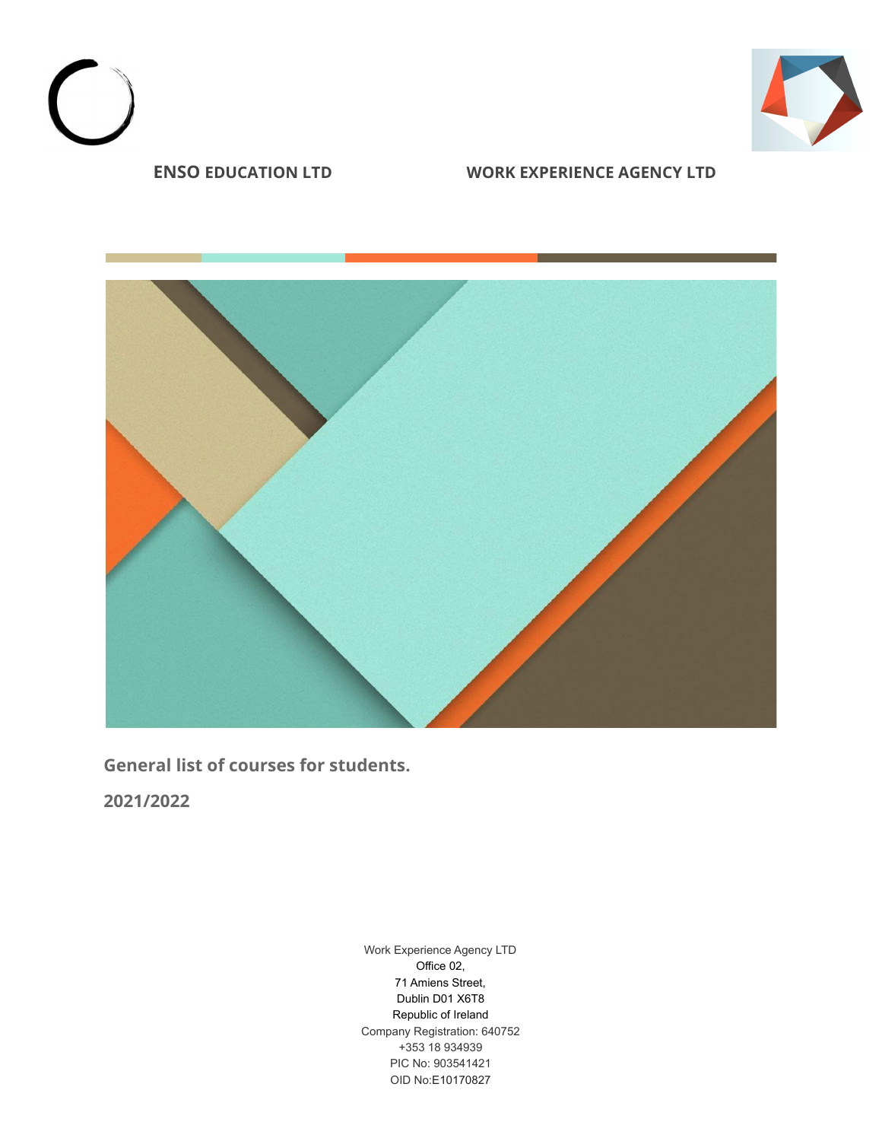



**General list of courses for students.**

**2021/2022**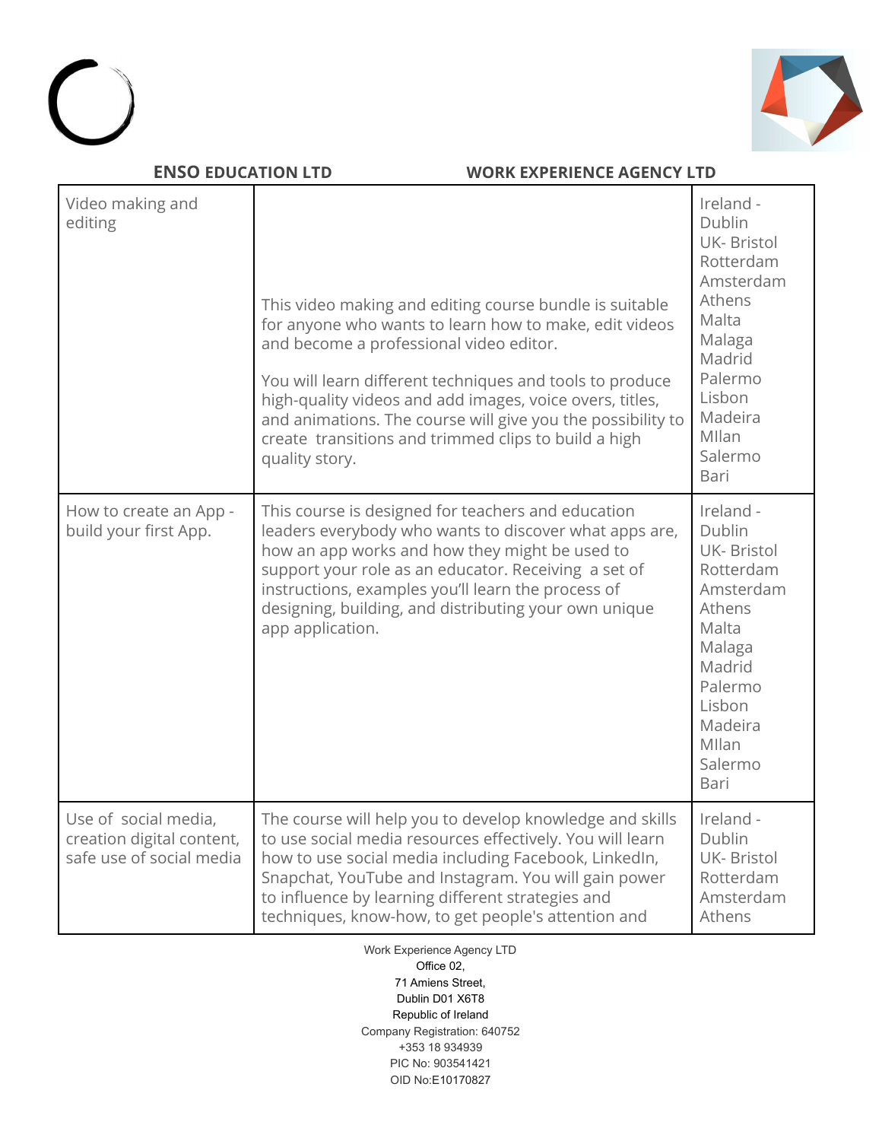



| Video making and<br>editing                                                   | This video making and editing course bundle is suitable<br>for anyone who wants to learn how to make, edit videos<br>and become a professional video editor.<br>You will learn different techniques and tools to produce<br>high-quality videos and add images, voice overs, titles,<br>and animations. The course will give you the possibility to<br>create transitions and trimmed clips to build a high<br>quality story. | Ireland -<br>Dublin<br><b>UK-Bristol</b><br>Rotterdam<br>Amsterdam<br>Athens<br>Malta<br>Malaga<br>Madrid<br>Palermo<br>Lisbon<br>Madeira<br>Mllan<br>Salermo<br>Bari |
|-------------------------------------------------------------------------------|-------------------------------------------------------------------------------------------------------------------------------------------------------------------------------------------------------------------------------------------------------------------------------------------------------------------------------------------------------------------------------------------------------------------------------|-----------------------------------------------------------------------------------------------------------------------------------------------------------------------|
| How to create an App -<br>build your first App.                               | This course is designed for teachers and education<br>leaders everybody who wants to discover what apps are,<br>how an app works and how they might be used to<br>support your role as an educator. Receiving a set of<br>instructions, examples you'll learn the process of<br>designing, building, and distributing your own unique<br>app application.                                                                     | Ireland -<br>Dublin<br><b>UK-Bristol</b><br>Rotterdam<br>Amsterdam<br>Athens<br>Malta<br>Malaga<br>Madrid<br>Palermo<br>Lisbon<br>Madeira<br>Mllan<br>Salermo<br>Bari |
| Use of social media,<br>creation digital content,<br>safe use of social media | The course will help you to develop knowledge and skills<br>to use social media resources effectively. You will learn<br>how to use social media including Facebook, LinkedIn,<br>Snapchat, YouTube and Instagram. You will gain power<br>to influence by learning different strategies and<br>techniques, know-how, to get people's attention and                                                                            | Ireland -<br>Dublin<br><b>UK-Bristol</b><br>Rotterdam<br>Amsterdam<br>Athens                                                                                          |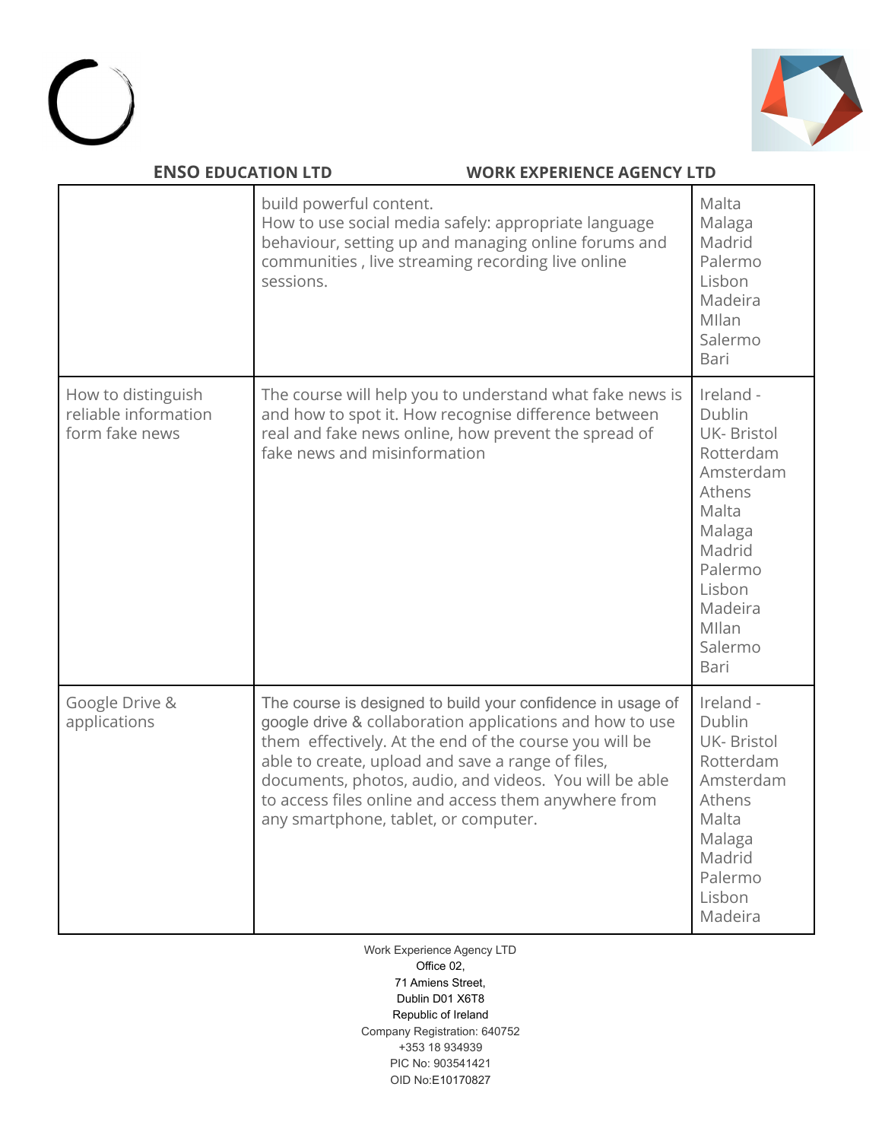



| <b>ENSO EDUCATION LTD</b><br><b>WORK EXPERIENCE AGENCY LTD</b> |                                                                                                                                                                                                                                                                                                                                                                                                  |                                                                                                                                                                       |
|----------------------------------------------------------------|--------------------------------------------------------------------------------------------------------------------------------------------------------------------------------------------------------------------------------------------------------------------------------------------------------------------------------------------------------------------------------------------------|-----------------------------------------------------------------------------------------------------------------------------------------------------------------------|
|                                                                | build powerful content.<br>How to use social media safely: appropriate language<br>behaviour, setting up and managing online forums and<br>communities, live streaming recording live online<br>sessions.                                                                                                                                                                                        | Malta<br>Malaga<br>Madrid<br>Palermo<br>Lisbon<br>Madeira<br>Mllan<br>Salermo<br>Bari                                                                                 |
| How to distinguish<br>reliable information<br>form fake news   | The course will help you to understand what fake news is<br>and how to spot it. How recognise difference between<br>real and fake news online, how prevent the spread of<br>fake news and misinformation                                                                                                                                                                                         | Ireland -<br>Dublin<br><b>UK-Bristol</b><br>Rotterdam<br>Amsterdam<br>Athens<br>Malta<br>Malaga<br>Madrid<br>Palermo<br>Lisbon<br>Madeira<br>Mllan<br>Salermo<br>Bari |
| Google Drive &<br>applications                                 | The course is designed to build your confidence in usage of<br>google drive & collaboration applications and how to use<br>them effectively. At the end of the course you will be<br>able to create, upload and save a range of files,<br>documents, photos, audio, and videos. You will be able<br>to access files online and access them anywhere from<br>any smartphone, tablet, or computer. | Ireland -<br>Dublin<br>UK- Bristol<br>Rotterdam<br>Amsterdam<br>Athens<br>Malta<br>Malaga<br>Madrid<br>Palermo<br>Lisbon<br>Madeira                                   |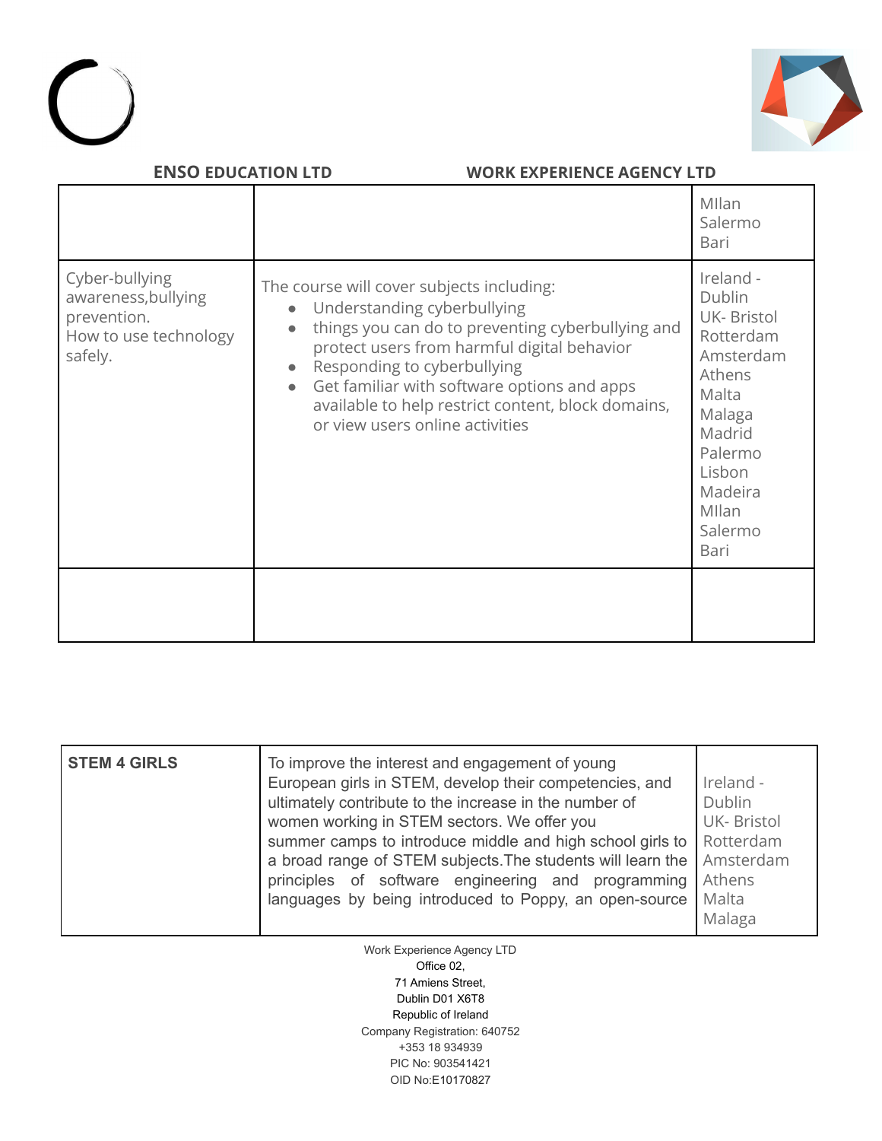



|                                                                                          |                                                                                                                                                                                                                                                                                                                                                                  | Mllan<br>Salermo<br>Bari                                                                                                                                              |
|------------------------------------------------------------------------------------------|------------------------------------------------------------------------------------------------------------------------------------------------------------------------------------------------------------------------------------------------------------------------------------------------------------------------------------------------------------------|-----------------------------------------------------------------------------------------------------------------------------------------------------------------------|
| Cyber-bullying<br>awareness, bullying<br>prevention.<br>How to use technology<br>safely. | The course will cover subjects including:<br>Understanding cyberbullying<br>things you can do to preventing cyberbullying and<br>protect users from harmful digital behavior<br>Responding to cyberbullying<br>Get familiar with software options and apps<br>$\bullet$<br>available to help restrict content, block domains,<br>or view users online activities | Ireland -<br>Dublin<br><b>UK-Bristol</b><br>Rotterdam<br>Amsterdam<br>Athens<br>Malta<br>Malaga<br>Madrid<br>Palermo<br>Lisbon<br>Madeira<br>Mllan<br>Salermo<br>Bari |
|                                                                                          |                                                                                                                                                                                                                                                                                                                                                                  |                                                                                                                                                                       |

| <b>STEM 4 GIRLS</b> | To improve the interest and engagement of young<br>European girls in STEM, develop their competencies, and<br>ultimately contribute to the increase in the number of<br>women working in STEM sectors. We offer you<br>summer camps to introduce middle and high school girls to<br>a broad range of STEM subjects. The students will learn the<br>principles of software engineering and programming<br>languages by being introduced to Poppy, an open-source | Ireland -<br>Dublin<br><b>UK-Bristol</b><br>Rotterdam<br>Amsterdam<br>Athens<br>Malta |
|---------------------|-----------------------------------------------------------------------------------------------------------------------------------------------------------------------------------------------------------------------------------------------------------------------------------------------------------------------------------------------------------------------------------------------------------------------------------------------------------------|---------------------------------------------------------------------------------------|
|                     |                                                                                                                                                                                                                                                                                                                                                                                                                                                                 | Malaga                                                                                |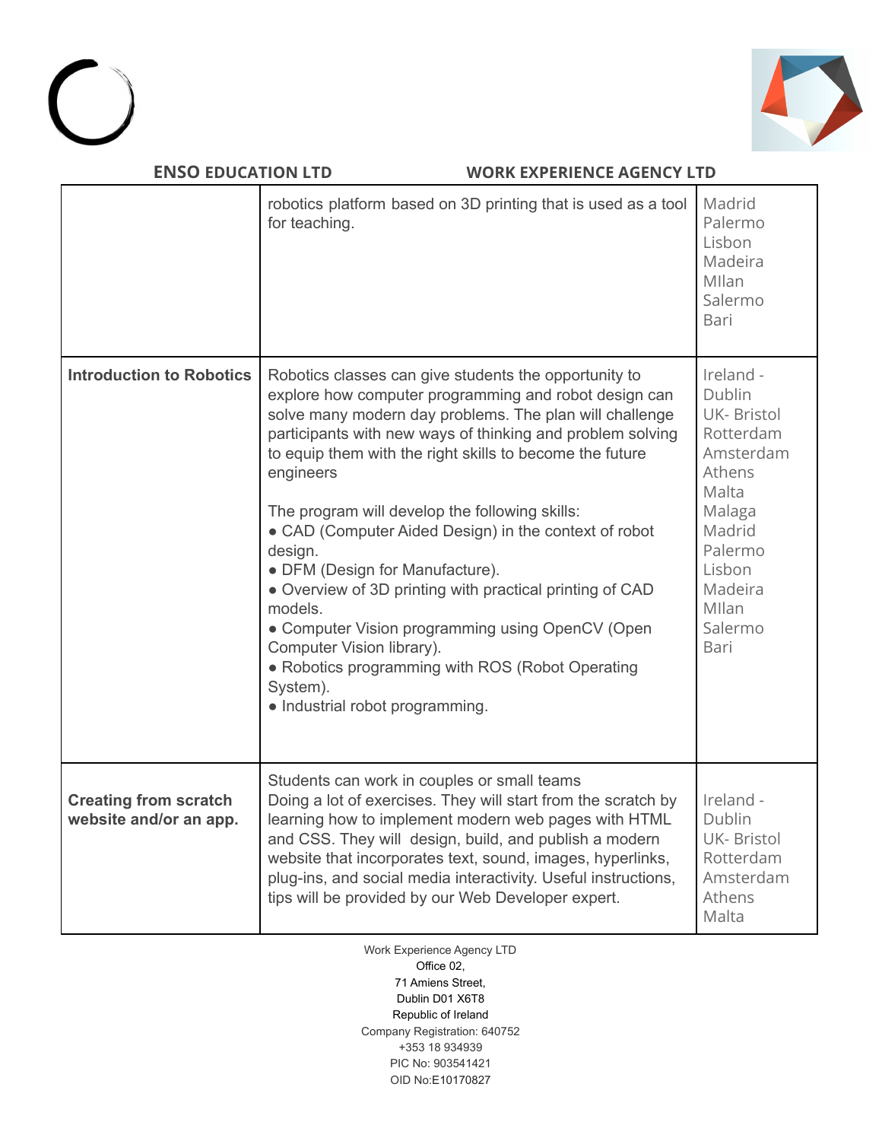



| <b>ENSO EDUCATION LTD</b>                              | <b>WORK EXPERIENCE AGENCY LTD</b>                                                                                                                                                                                                                                                                                                                                                                                                                                                                                                                                                                                                                                                                                                    |                                                                                                                                                                 |
|--------------------------------------------------------|--------------------------------------------------------------------------------------------------------------------------------------------------------------------------------------------------------------------------------------------------------------------------------------------------------------------------------------------------------------------------------------------------------------------------------------------------------------------------------------------------------------------------------------------------------------------------------------------------------------------------------------------------------------------------------------------------------------------------------------|-----------------------------------------------------------------------------------------------------------------------------------------------------------------|
|                                                        | robotics platform based on 3D printing that is used as a tool<br>for teaching.                                                                                                                                                                                                                                                                                                                                                                                                                                                                                                                                                                                                                                                       | Madrid<br>Palermo<br>Lisbon<br>Madeira<br>Mllan<br>Salermo<br>Bari                                                                                              |
| <b>Introduction to Robotics</b>                        | Robotics classes can give students the opportunity to<br>explore how computer programming and robot design can<br>solve many modern day problems. The plan will challenge<br>participants with new ways of thinking and problem solving<br>to equip them with the right skills to become the future<br>engineers<br>The program will develop the following skills:<br>• CAD (Computer Aided Design) in the context of robot<br>design.<br>• DFM (Design for Manufacture).<br>• Overview of 3D printing with practical printing of CAD<br>models.<br>• Computer Vision programming using OpenCV (Open<br>Computer Vision library).<br>• Robotics programming with ROS (Robot Operating<br>System).<br>· Industrial robot programming. | Ireland -<br>Dublin<br>UK- Bristol<br>Rotterdam<br>Amsterdam<br>Athens<br>Malta<br>Malaga<br>Madrid<br>Palermo<br>Lisbon<br>Madeira<br>Mllan<br>Salermo<br>Bari |
| <b>Creating from scratch</b><br>website and/or an app. | Students can work in couples or small teams<br>Doing a lot of exercises. They will start from the scratch by<br>learning how to implement modern web pages with HTML<br>and CSS. They will design, build, and publish a modern<br>website that incorporates text, sound, images, hyperlinks,<br>plug-ins, and social media interactivity. Useful instructions,<br>tips will be provided by our Web Developer expert.                                                                                                                                                                                                                                                                                                                 | Ireland -<br>Dublin<br><b>UK-Bristol</b><br>Rotterdam<br>Amsterdam<br>Athens<br>Malta                                                                           |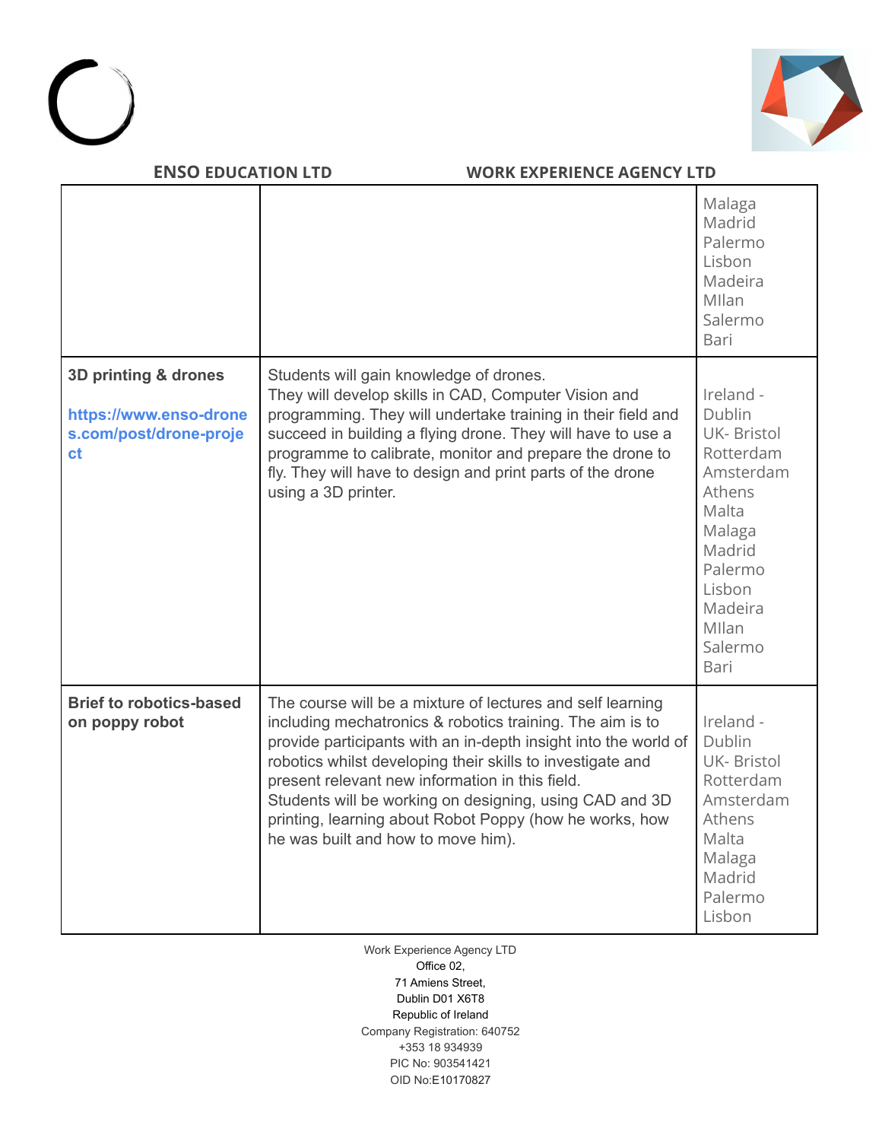



|                                                                                |                                                                                                                                                                                                                                                                                                                                                                                                                                                                         | Malaga<br>Madrid<br>Palermo<br>Lisbon<br>Madeira<br>Mllan<br>Salermo<br>Bari                                                                                          |
|--------------------------------------------------------------------------------|-------------------------------------------------------------------------------------------------------------------------------------------------------------------------------------------------------------------------------------------------------------------------------------------------------------------------------------------------------------------------------------------------------------------------------------------------------------------------|-----------------------------------------------------------------------------------------------------------------------------------------------------------------------|
| 3D printing & drones<br>https://www.enso-drone<br>s.com/post/drone-proje<br>ct | Students will gain knowledge of drones.<br>They will develop skills in CAD, Computer Vision and<br>programming. They will undertake training in their field and<br>succeed in building a flying drone. They will have to use a<br>programme to calibrate, monitor and prepare the drone to<br>fly. They will have to design and print parts of the drone<br>using a 3D printer.                                                                                         | Ireland -<br>Dublin<br><b>UK-Bristol</b><br>Rotterdam<br>Amsterdam<br>Athens<br>Malta<br>Malaga<br>Madrid<br>Palermo<br>Lisbon<br>Madeira<br>Mllan<br>Salermo<br>Bari |
| <b>Brief to robotics-based</b><br>on poppy robot                               | The course will be a mixture of lectures and self learning<br>including mechatronics & robotics training. The aim is to<br>provide participants with an in-depth insight into the world of<br>robotics whilst developing their skills to investigate and<br>present relevant new information in this field.<br>Students will be working on designing, using CAD and 3D<br>printing, learning about Robot Poppy (how he works, how<br>he was built and how to move him). | Ireland -<br>Dublin<br><b>UK-Bristol</b><br>Rotterdam<br>Amsterdam<br>Athens<br>Malta<br>Malaga<br>Madrid<br>Palermo<br>Lisbon                                        |